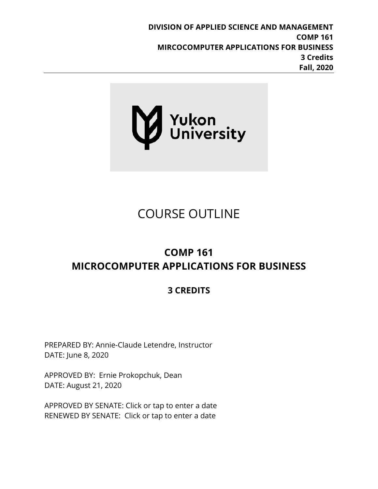**DIVISION OF APPLIED SCIENCE AND MANAGEMENT COMP 161 MIRCOCOMPUTER APPLICATIONS FOR BUSINESS 3 Credits Fall, 2020**



# COURSE OUTLINE

# **COMP 161 MICROCOMPUTER APPLICATIONS FOR BUSINESS**

# **3 CREDITS**

PREPARED BY: Annie-Claude Letendre, Instructor DATE: June 8, 2020

APPROVED BY: Ernie Prokopchuk, Dean DATE: August 21, 2020

APPROVED BY SENATE: Click or tap to enter a date RENEWED BY SENATE: Click or tap to enter a date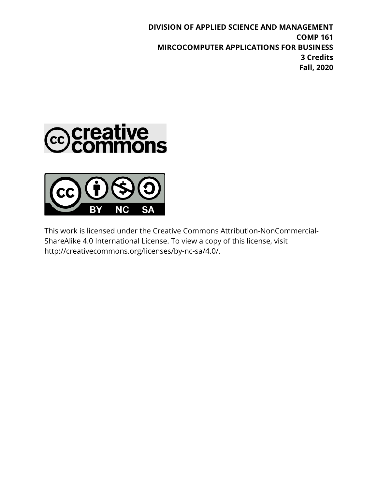**DIVISION OF APPLIED SCIENCE AND MANAGEMENT COMP 161 MIRCOCOMPUTER APPLICATIONS FOR BUSINESS 3 Credits Fall, 2020**





This work is licensed under the Creative Commons Attribution-NonCommercial-ShareAlike 4.0 International License. To view a copy of this license, visit http://creativecommons.org/licenses/by-nc-sa/4.0/.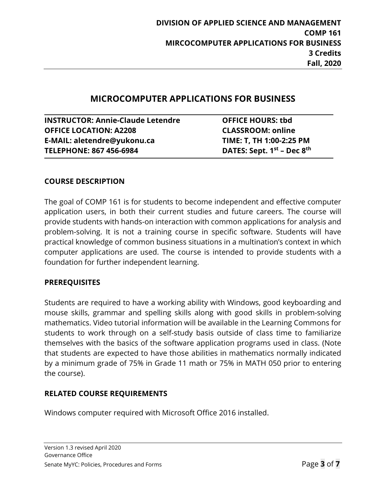# **MICROCOMPUTER APPLICATIONS FOR BUSINESS**

| <b>INSTRUCTOR: Annie-Claude Letendre</b> | <b>OFFICE HOURS: tbd</b>             |
|------------------------------------------|--------------------------------------|
| <b>OFFICE LOCATION: A2208</b>            | <b>CLASSROOM: online</b>             |
| E-MAIL: aletendre@yukonu.ca              | TIME: T, TH 1:00-2:25 PM             |
| <b>TELEPHONE: 867 456-6984</b>           | DATES: Sept. $1^{st}$ – Dec $8^{th}$ |

#### **COURSE DESCRIPTION**

The goal of COMP 161 is for students to become independent and effective computer application users, in both their current studies and future careers. The course will provide students with hands-on interaction with common applications for analysis and problem-solving. It is not a training course in specific software. Students will have practical knowledge of common business situations in a multination's context in which computer applications are used. The course is intended to provide students with a foundation for further independent learning.

#### **PREREQUISITES**

Students are required to have a working ability with Windows, good keyboarding and mouse skills, grammar and spelling skills along with good skills in problem-solving mathematics. Video tutorial information will be available in the Learning Commons for students to work through on a self-study basis outside of class time to familiarize themselves with the basics of the software application programs used in class. (Note that students are expected to have those abilities in mathematics normally indicated by a minimum grade of 75% in Grade 11 math or 75% in MATH 050 prior to entering the course).

# **RELATED COURSE REQUIREMENTS**

Windows computer required with Microsoft Office 2016 installed.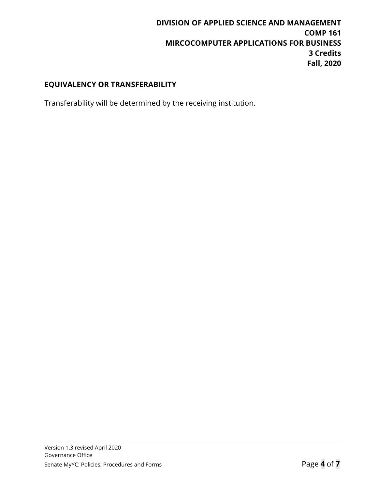# **EQUIVALENCY OR TRANSFERABILITY**

Transferability will be determined by the receiving institution.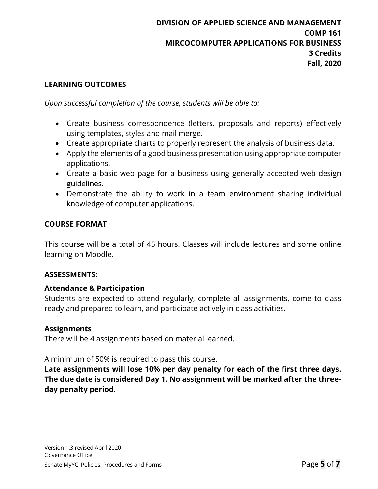### **LEARNING OUTCOMES**

*Upon successful completion of the course, students will be able to:*

- Create business correspondence (letters, proposals and reports) effectively using templates, styles and mail merge.
- Create appropriate charts to properly represent the analysis of business data.
- Apply the elements of a good business presentation using appropriate computer applications.
- Create a basic web page for a business using generally accepted web design guidelines.
- Demonstrate the ability to work in a team environment sharing individual knowledge of computer applications.

#### **COURSE FORMAT**

This course will be a total of 45 hours. Classes will include lectures and some online learning on Moodle.

#### **ASSESSMENTS:**

#### **Attendance & Participation**

Students are expected to attend regularly, complete all assignments, come to class ready and prepared to learn, and participate actively in class activities.

#### **Assignments**

There will be 4 assignments based on material learned.

A minimum of 50% is required to pass this course.

**Late assignments will lose 10% per day penalty for each of the first three days. The due date is considered Day 1. No assignment will be marked after the threeday penalty period.**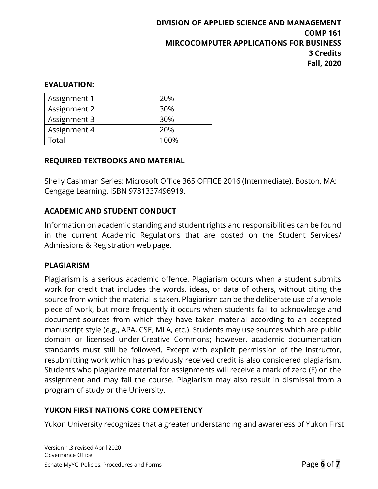# **EVALUATION:**

| Assignment 1 | 20%  |
|--------------|------|
| Assignment 2 | 30%  |
| Assignment 3 | 30%  |
| Assignment 4 | 20%  |
| Total        | 100% |

# **REQUIRED TEXTBOOKS AND MATERIAL**

Shelly Cashman Series: Microsoft Office 365 OFFICE 2016 (Intermediate). Boston, MA: Cengage Learning. ISBN 9781337496919.

# **ACADEMIC AND STUDENT CONDUCT**

Information on academic standing and student rights and responsibilities can be found in the current Academic Regulations that are posted on the Student Services/ Admissions & Registration web page.

# **PLAGIARISM**

Plagiarism is a serious academic offence. Plagiarism occurs when a student submits work for credit that includes the words, ideas, or data of others, without citing the source from which the material is taken. Plagiarism can be the deliberate use of a whole piece of work, but more frequently it occurs when students fail to acknowledge and document sources from which they have taken material according to an accepted manuscript style (e.g., APA, CSE, MLA, etc.). Students may use sources which are public domain or licensed under Creative Commons; however, academic documentation standards must still be followed. Except with explicit permission of the instructor, resubmitting work which has previously received credit is also considered plagiarism. Students who plagiarize material for assignments will receive a mark of zero (F) on the assignment and may fail the course. Plagiarism may also result in dismissal from a program of study or the University.

# **YUKON FIRST NATIONS CORE COMPETENCY**

Yukon University recognizes that a greater understanding and awareness of Yukon First